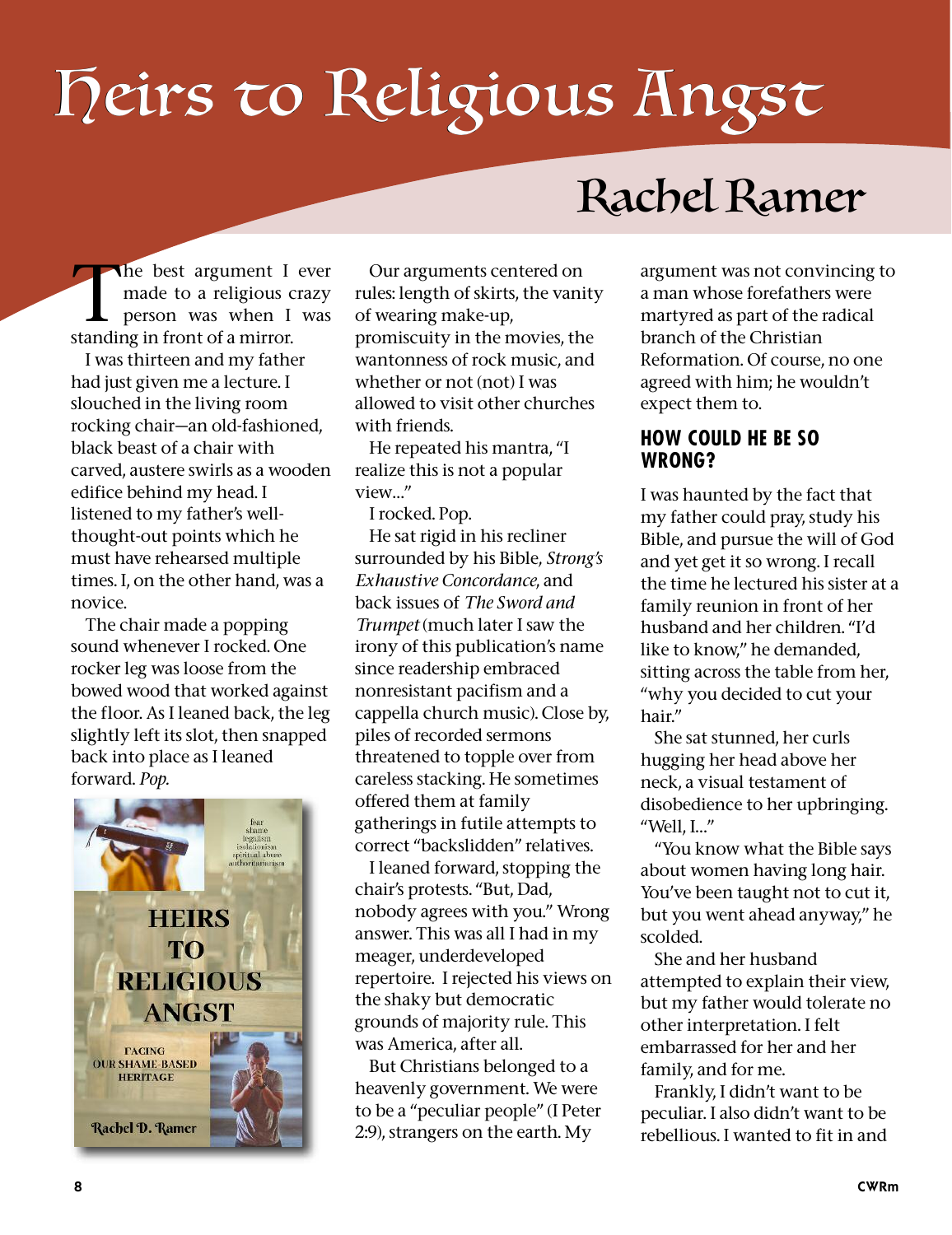# Heirs to Religious Angst

## Rachel Ramer

The best argument I ever<br>
made to a religious crazy<br>
person was when I was made to a religious crazy standing in front of a mirror.

I was thirteen and my father had just given me a lecture. I slouched in the living room rocking chair—an old-fashioned, black beast of a chair with carved, austere swirls as a wooden edifice behind my head. I listened to my father's wellthought-out points which he must have rehearsed multiple times. I, on the other hand, was a novice.

The chair made a popping sound whenever I rocked. One rocker leg was loose from the bowed wood that worked against the floor. As I leaned back, the leg slightly left its slot, then snapped back into place as I leaned forward. *Pop.*



Our arguments centered on rules: length of skirts, the vanity of wearing make-up, promiscuity in the movies, the wantonness of rock music, and whether or not (not) I was allowed to visit other churches with friends.

He repeated his mantra, "I realize this is not a popular view…"

I rocked. Pop.

He sat rigid in his recliner surrounded by his Bible, *Strong's Exhaustive Concordance*, and back issues of *The Sword and Trumpet* (much later I saw the irony of this publication's name since readership embraced nonresistant pacifism and a cappella church music). Close by, piles of recorded sermons threatened to topple over from careless stacking. He sometimes offered them at family gatherings in futile attempts to correct "backslidden" relatives.

I leaned forward, stopping the chair's protests. "But, Dad, nobody agrees with you." Wrong answer. This was all I had in my meager, underdeveloped repertoire. I rejected his views on the shaky but democratic grounds of majority rule. This was America, after all.

But Christians belonged to a heavenly government. We were to be a "peculiar people" (I Peter 2:9), strangers on the earth. My

argument was not convincing to a man whose forefathers were martyred as part of the radical branch of the Christian Reformation. Of course, no one agreed with him; he wouldn't expect them to.

#### **HOW COULD HE BE SO WRONG?**

I was haunted by the fact that my father could pray, study his Bible, and pursue the will of God and yet get it so wrong. I recall the time he lectured his sister at a family reunion in front of her husband and her children. "I'd like to know," he demanded, sitting across the table from her, "why you decided to cut your hair."

She sat stunned, her curls hugging her head above her neck, a visual testament of disobedience to her upbringing. "Well, I…"

"You know what the Bible says about women having long hair. You've been taught not to cut it, but you went ahead anyway," he scolded.

She and her husband attempted to explain their view, but my father would tolerate no other interpretation. I felt embarrassed for her and her family, and for me.

Frankly, I didn't want to be peculiar. I also didn't want to be rebellious. I wanted to fit in and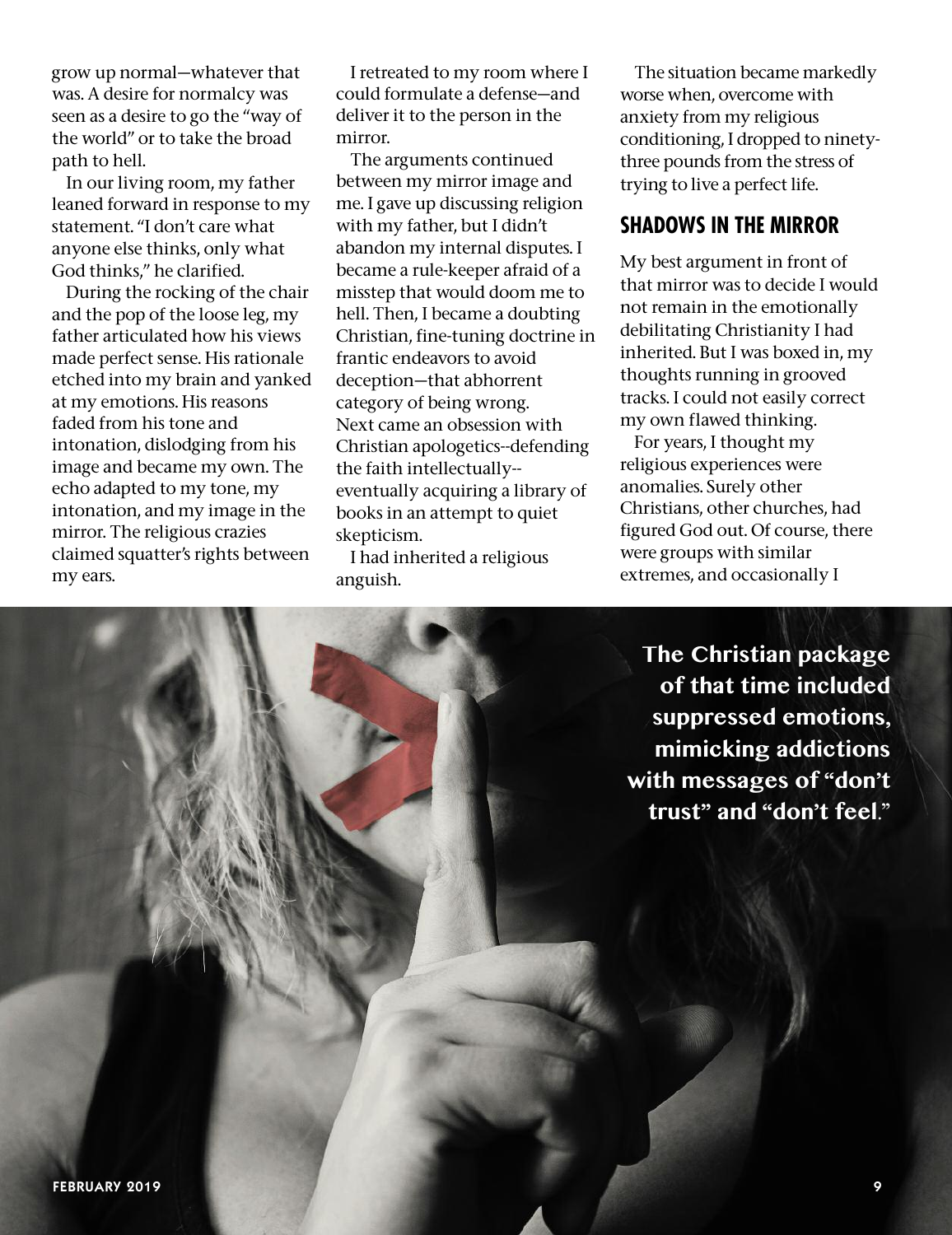grow up normal—whatever that was. A desire for normalcy was seen as a desire to go the "way of the world" or to take the broad path to hell.

In our living room, my father leaned forward in response to my statement. "I don't care what anyone else thinks, only what God thinks," he clarified.

During the rocking of the chair and the pop of the loose leg, my father articulated how his views made perfect sense. His rationale etched into my brain and yanked at my emotions. His reasons faded from his tone and intonation, dislodging from his image and became my own. The echo adapted to my tone, my intonation, and my image in the mirror. The religious crazies claimed squatter's rights between my ears.

I retreated to my room where I could formulate a defense—and deliver it to the person in the mirror.

The arguments continued between my mirror image and me. I gave up discussing religion with my father, but I didn't abandon my internal disputes. I became a rule-keeper afraid of a misstep that would doom me to hell. Then, I became a doubting Christian, fine-tuning doctrine in frantic endeavors to avoid deception—that abhorrent category of being wrong. Next came an obsession with Christian apologetics--defending the faith intellectually- eventually acquiring a library of books in an attempt to quiet skepticism.

I had inherited a religious anguish.

The situation became markedly worse when, overcome with anxiety from my religious conditioning, I dropped to ninetythree pounds from the stress of trying to live a perfect life.

### **SHADOWS IN THE MIRROR**

My best argument in front of that mirror was to decide I would not remain in the emotionally debilitating Christianity I had inherited. But I was boxed in, my thoughts running in grooved tracks. I could not easily correct my own flawed thinking.

For years, I thought my religious experiences were anomalies. Surely other Christians, other churches, had figured God out. Of course, there were groups with similar extremes, and occasionally I

**The Christian package of that time included suppressed emotions, mimicking addictions with messages of "don't trust" and "don't feel**."